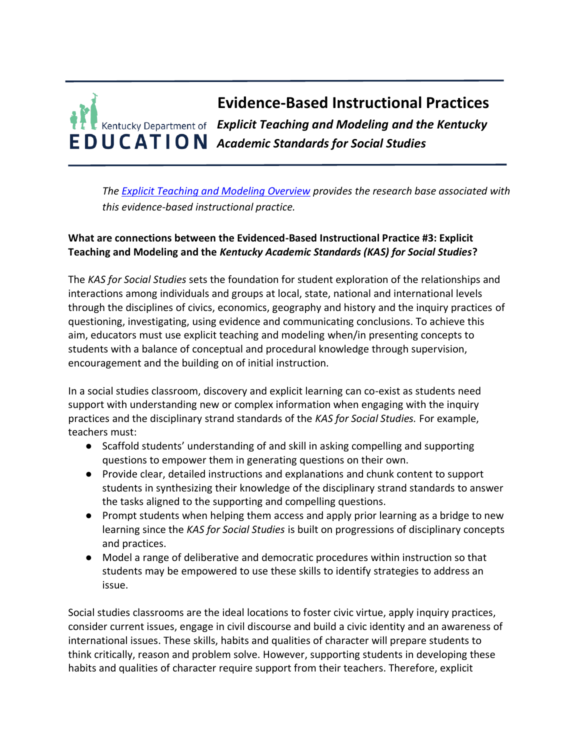

*The [Explicit Teaching and Modeling Overview](https://education.ky.gov/curriculum/standards/kyacadstand/Documents/EBIP_3_Explicit_Teaching_and_Modeling.pdf) provides the research base associated with this evidence-based instructional practice.*

# **What are connections between the Evidenced-Based Instructional Practice #3: Explicit Teaching and Modeling and the** *Kentucky Academic Standards (KAS) for Social Studies***?**

The *KAS for Social Studies* sets the foundation for student exploration of the relationships and interactions among individuals and groups at local, state, national and international levels through the disciplines of civics, economics, geography and history and the inquiry practices of questioning, investigating, using evidence and communicating conclusions. To achieve this aim, educators must use explicit teaching and modeling when/in presenting concepts to students with a balance of conceptual and procedural knowledge through supervision, encouragement and the building on of initial instruction.

In a social studies classroom, discovery and explicit learning can co-exist as students need support with understanding new or complex information when engaging with the inquiry practices and the disciplinary strand standards of the *KAS for Social Studies.* For example, teachers must:

- Scaffold students' understanding of and skill in asking compelling and supporting questions to empower them in generating questions on their own.
- Provide clear, detailed instructions and explanations and chunk content to support students in synthesizing their knowledge of the disciplinary strand standards to answer the tasks aligned to the supporting and compelling questions.
- Prompt students when helping them access and apply prior learning as a bridge to new learning since the *KAS for Social Studies* is built on progressions of disciplinary concepts and practices.
- Model a range of deliberative and democratic procedures within instruction so that students may be empowered to use these skills to identify strategies to address an issue.

Social studies classrooms are the ideal locations to foster civic virtue, apply inquiry practices, consider current issues, engage in civil discourse and build a civic identity and an awareness of international issues. These skills, habits and qualities of character will prepare students to think critically, reason and problem solve. However, supporting students in developing these habits and qualities of character require support from their teachers. Therefore, explicit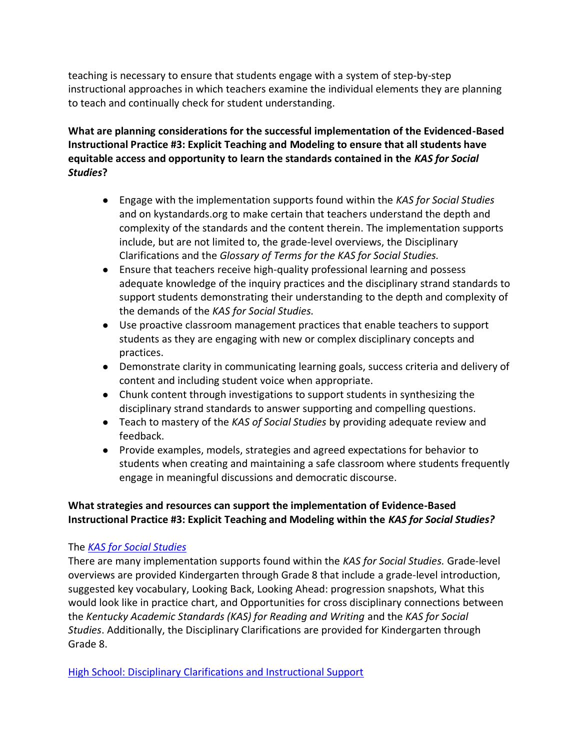teaching is necessary to ensure that students engage with a system of step-by-step instructional approaches in which teachers examine the individual elements they are planning to teach and continually check for student understanding.

**What are planning considerations for the successful implementation of the Evidenced-Based Instructional Practice #3: Explicit Teaching and Modeling to ensure that all students have equitable access and opportunity to learn the standards contained in the** *KAS for Social Studies***?**

- Engage with the implementation supports found within the *KAS for Social Studies*  and on kystandards.org to make certain that teachers understand the depth and complexity of the standards and the content therein. The implementation supports include, but are not limited to, the grade-level overviews, the Disciplinary Clarifications and the *Glossary of Terms for the KAS for Social Studies.*
- Ensure that teachers receive high-quality professional learning and possess adequate knowledge of the inquiry practices and the disciplinary strand standards to support students demonstrating their understanding to the depth and complexity of the demands of the *KAS for Social Studies.*
- Use proactive classroom management practices that enable teachers to support students as they are engaging with new or complex disciplinary concepts and practices.
- Demonstrate clarity in communicating learning goals, success criteria and delivery of content and including student voice when appropriate.
- Chunk content through investigations to support students in synthesizing the disciplinary strand standards to answer supporting and compelling questions.
- Teach to mastery of the *KAS of Social Studies* by providing adequate review and feedback.
- Provide examples, models, strategies and agreed expectations for behavior to students when creating and maintaining a safe classroom where students frequently engage in meaningful discussions and democratic discourse.

# **What strategies and resources can support the implementation of Evidence-Based Instructional Practice #3: Explicit Teaching and Modeling within the** *KAS for Social Studies?*

# The *[KAS for Social Studies](https://education.ky.gov/curriculum/standards/kyacadstand/Documents/Kentucky_Academic_Standards_for_Social_Studies_2019.pdf)*

There are many implementation supports found within the *KAS for Social Studies.* Grade-level overviews are provided Kindergarten through Grade 8 that include a grade-level introduction, suggested key vocabulary, Looking Back, Looking Ahead: progression snapshots, What this would look like in practice chart, and Opportunities for cross disciplinary connections between the *Kentucky Academic Standards (KAS) for Reading and Writing* and the *KAS for Social Studies*. Additionally, the Disciplinary Clarifications are provided for Kindergarten through Grade 8.

[High School: Disciplinary Clarifications and Instructional Support](https://education.ky.gov/curriculum/standards/kyacadstand/Documents/High_School_Disciplinary_Clarifications.pdf)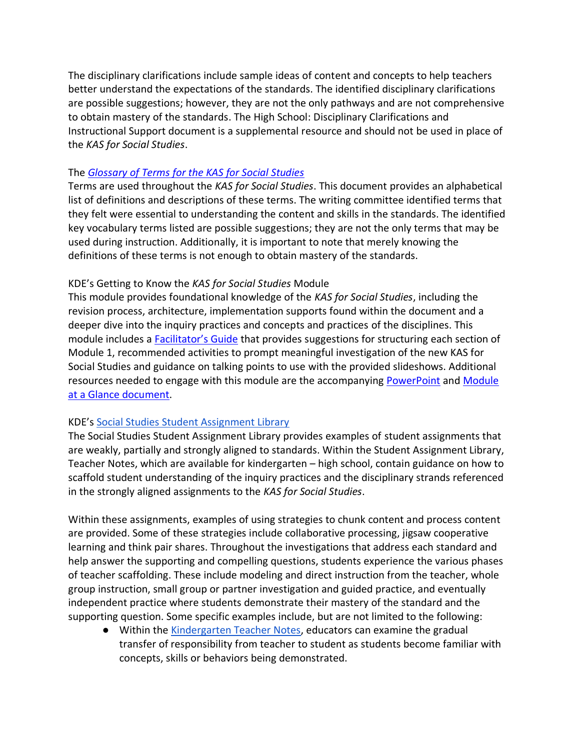The disciplinary clarifications include sample ideas of content and concepts to help teachers better understand the expectations of the standards. The identified disciplinary clarifications are possible suggestions; however, they are not the only pathways and are not comprehensive to obtain mastery of the standards. The High School: Disciplinary Clarifications and Instructional Support document is a supplemental resource and should not be used in place of the *KAS for Social Studies*.

### The *[Glossary of Terms for the KAS for Social Studies](https://education.ky.gov/curriculum/standards/kyacadstand/Documents/KAS_for_Social_Studies_Glossary_of_Terms.pdf)*

Terms are used throughout the *KAS for Social Studies*. This document provides an alphabetical list of definitions and descriptions of these terms. The writing committee identified terms that they felt were essential to understanding the content and skills in the standards. The identified key vocabulary terms listed are possible suggestions; they are not the only terms that may be used during instruction. Additionally, it is important to note that merely knowing the definitions of these terms is not enough to obtain mastery of the standards.

#### KDE's Getting to Know the *KAS for Social Studies* Module

This module provides foundational knowledge of the *KAS for Social Studies*, including the revision process, architecture, implementation supports found within the document and a deeper dive into the inquiry practices and concepts and practices of the disciplines. This module includes a [Facilitator's Guide](https://education.ky.gov/curriculum/standards/kyacadstand/Documents/Facilitators_Guide_Getting_to_Know_the_KAS_for_Social_Studies.pdf) that provides suggestions for structuring each section of Module 1, recommended activities to prompt meaningful investigation of the new KAS for Social Studies and guidance on talking points to use with the provided slideshows. Additional resources needed to engage with this module are the accompanying [PowerPoint](https://education.ky.gov/curriculum/standards/kyacadstand/Documents/Getting_to_Know_the_KAS_for_Social_Studies.pptx) and [Module](https://education.ky.gov/curriculum/standards/kyacadstand/Documents/Inquiry_Practices_Module_at_a_Glance.pdf)  [at a Glance document.](https://education.ky.gov/curriculum/standards/kyacadstand/Documents/Inquiry_Practices_Module_at_a_Glance.pdf)

#### KDE's [Social Studies Student Assignment Library](https://kystandards.org/standards-resources/sal/ss_sal/)

The Social Studies Student Assignment Library provides examples of student assignments that are weakly, partially and strongly aligned to standards. Within the Student Assignment Library, Teacher Notes, which are available for kindergarten – high school, contain guidance on how to scaffold student understanding of the inquiry practices and the disciplinary strands referenced in the strongly aligned assignments to the *KAS for Social Studies*.

Within these assignments, examples of using strategies to chunk content and process content are provided. Some of these strategies include collaborative processing, jigsaw cooperative learning and think pair shares. Throughout the investigations that address each standard and help answer the supporting and compelling questions, students experience the various phases of teacher scaffolding. These include modeling and direct instruction from the teacher, whole group instruction, small group or partner investigation and guided practice, and eventually independent practice where students demonstrate their mastery of the standard and the supporting question. Some specific examples include, but are not limited to the following:

● Within the [Kindergarten Teacher Notes,](https://education.ky.gov/curriculum/standards/kyacadstand/Documents/K_SS_Strongly_Aligned_Assignment_TN.docx) educators can examine the gradual transfer of responsibility from teacher to student as students become familiar with concepts, skills or behaviors being demonstrated.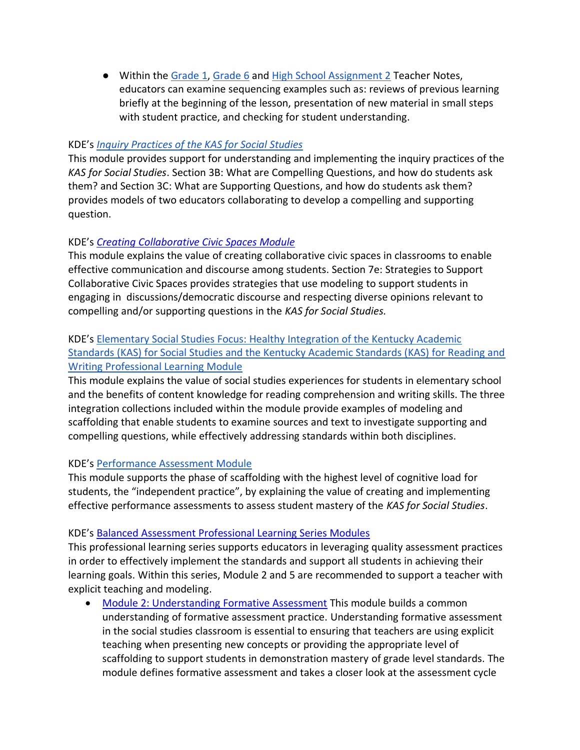● Within the [Grade 1,](https://education.ky.gov/curriculum/standards/kyacadstand/Documents/Grade_1_SS_Strongly_Aligned_Assignment_TN.docx) [Grade 6](https://education.ky.gov/curriculum/standards/kyacadstand/Documents/Grade_6_SS_Strongly_Aligned_Assignment_TN.docx) and [High School Assignment 2](https://education.ky.gov/curriculum/standards/kyacadstand/Documents/High_School_SS_Strongly_Aligned_Assignment_2_TN.docx) Teacher Notes, educators can examine sequencing examples such as: reviews of previous learning briefly at the beginning of the lesson, presentation of new material in small steps with student practice, and checking for student understanding.

#### KDE's *[Inquiry Practices of the KAS for Social Studies](https://education.ky.gov/curriculum/standards/kyacadstand/Documents/Inquiry_Practices_of_KAS_for_Social_Studies.pptx)*

This module provides support for understanding and implementing the inquiry practices of the *KAS for Social Studies*. Section 3B: What are Compelling Questions, and how do students ask them? and Section 3C: What are Supporting Questions, and how do students ask them? provides models of two educators collaborating to develop a compelling and supporting question.

#### KDE's *[Creating Collaborative Civic Spaces Module](https://education.ky.gov/curriculum/standards/kyacadstand/Documents/Collaborative_Civic_Spaces_Facilitator_Guide.pdf)*

This module explains the value of creating collaborative civic spaces in classrooms to enable effective communication and discourse among students. Section 7e: Strategies to Support Collaborative Civic Spaces provides strategies that use modeling to support students in engaging in discussions/democratic discourse and respecting diverse opinions relevant to compelling and/or supporting questions in the *KAS for Social Studies.* 

## KDE's [Elementary Social Studies Focus: Healthy Integration of the Kentucky Academic](https://education.ky.gov/curriculum/standards/kyacadstand/Documents/Healthy_Integration_Module.pptx)  [Standards \(KAS\) for Social Studies and the Kentucky Academic Standards \(KAS\) for Reading and](https://education.ky.gov/curriculum/standards/kyacadstand/Documents/Healthy_Integration_Module.pptx)  [Writing Professional Learning Module](https://education.ky.gov/curriculum/standards/kyacadstand/Documents/Healthy_Integration_Module.pptx)

This module explains the value of social studies experiences for students in elementary school and the benefits of content knowledge for reading comprehension and writing skills. The three integration collections included within the module provide examples of modeling and scaffolding that enable students to examine sources and text to investigate supporting and compelling questions, while effectively addressing standards within both disciplines.

### KDE's [Performance Assessment Module](https://education.ky.gov/curriculum/standards/kyacadstand/Documents/Performance_Assessments_in_Social_Studies_Module.pptx)

This module supports the phase of scaffolding with the highest level of cognitive load for students, the "independent practice", by explaining the value of creating and implementing effective performance assessments to assess student mastery of the *KAS for Social Studies*.

### KDE's [Balanced Assessment Professional Learning Series Modules](https://kystandards.org/standards-resources/pl-mods/balanced-assessment-plms/)

This professional learning series supports educators in leveraging quality assessment practices in order to effectively implement the standards and support all students in achieving their learning goals. Within this series, Module 2 and 5 are recommended to support a teacher with explicit teaching and modeling.

• [Module 2: Understanding Formative Assessment](https://education.ky.gov/curriculum/standards/kyacadstand/Documents/Module_2_Understanding_Formative_Assessment.pptx) This module builds a common understanding of formative assessment practice. Understanding formative assessment in the social studies classroom is essential to ensuring that teachers are using explicit teaching when presenting new concepts or providing the appropriate level of scaffolding to support students in demonstration mastery of grade level standards. The module defines formative assessment and takes a closer look at the assessment cycle